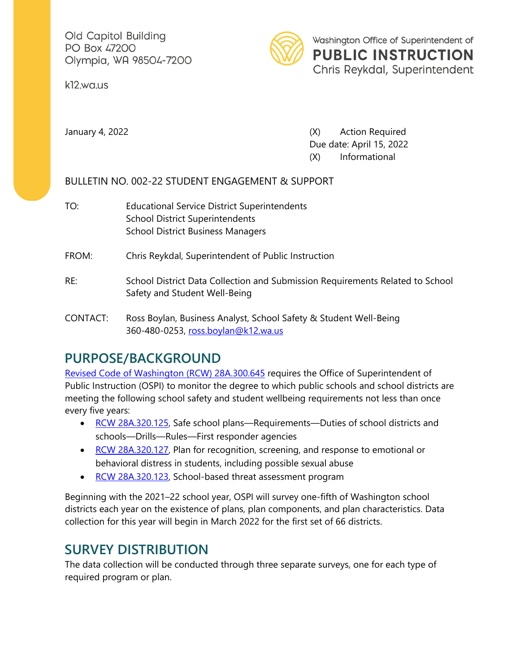Old Capitol Building PO Box 47200 Olympia, WA 98504-7200

k12.wa.us



January 4, 2022 (X) Action Required Due date: April 15, 2022 (X) Informational

## BULLETIN NO. 002-22 STUDENT ENGAGEMENT & SUPPORT

- TO: Educational Service District Superintendents School District Superintendents School District Business Managers
- FROM: Chris Reykdal, Superintendent of Public Instruction
- RE: School District Data Collection and Submission Requirements Related to School Safety and Student Well-Being
- CONTACT: Ross Boylan, Business Analyst, School Safety & Student Well-Being 360-480-0253, [ross.boylan@k12.wa.us](mailto:ross.boylan@k12.wa.us)

## **PURPOSE/BACKGROUND**

[Revised Code of Washington \(RCW\) 28A.300.645](https://app.leg.wa.gov/RCW/default.aspx?cite=28A.300.645) requires the Office of Superintendent of Public Instruction (OSPI) to monitor the degree to which public schools and school districts are meeting the following school safety and student wellbeing requirements not less than once every five years:

- [RCW 28A.320.125,](https://app.leg.wa.gov/rcw/default.aspx?cite=28A.320.125) Safe school plans—Requirements—Duties of school districts and schools—Drills—Rules—First responder agencies
- [RCW 28A.320.127,](https://app.leg.wa.gov/rcw/default.aspx?cite=28A.320.127) Plan for recognition, screening, and response to emotional or behavioral distress in students, including possible sexual abuse
- [RCW 28A.320.123,](https://app.leg.wa.gov/rcw/default.aspx?cite=28A.320.123) School-based threat assessment program

Beginning with the 2021–22 school year, OSPI will survey one-fifth of Washington school districts each year on the existence of plans, plan components, and plan characteristics. Data collection for this year will begin in March 2022 for the first set of 66 districts.

## **SURVEY DISTRIBUTION**

The data collection will be conducted through three separate surveys, one for each type of required program or plan.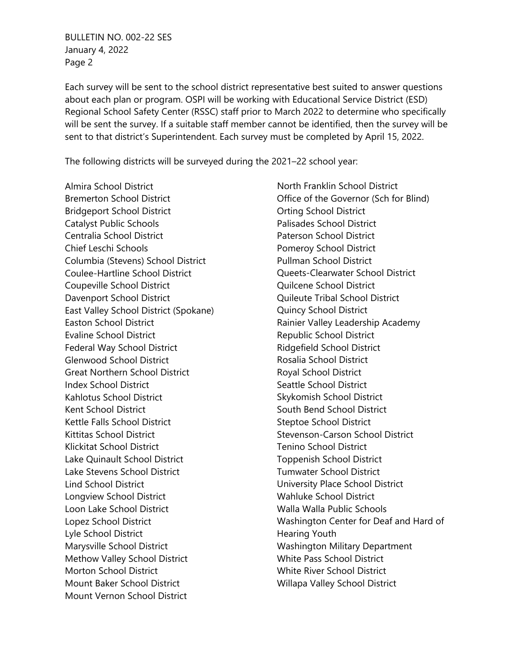BULLETIN NO. 002-22 SES January 4, 2022 Page 2

Each survey will be sent to the school district representative best suited to answer questions about each plan or program. OSPI will be working with Educational Service District (ESD) Regional School Safety Center (RSSC) staff prior to March 2022 to determine who specifically will be sent the survey. If a suitable staff member cannot be identified, then the survey will be sent to that district's Superintendent. Each survey must be completed by April 15, 2022.

The following districts will be surveyed during the 2021–22 school year:

Almira School District Bremerton School District Bridgeport School District Catalyst Public Schools Centralia School District Chief Leschi Schools Columbia (Stevens) School District Coulee-Hartline School District Coupeville School District Davenport School District East Valley School District (Spokane) Easton School District Evaline School District Federal Way School District Glenwood School District Great Northern School District Index School District Kahlotus School District Kent School District Kettle Falls School District Kittitas School District Klickitat School District Lake Quinault School District Lake Stevens School District Lind School District Longview School District Loon Lake School District Lopez School District Lyle School District Marysville School District Methow Valley School District Morton School District Mount Baker School District Mount Vernon School District

North Franklin School District Office of the Governor (Sch for Blind) Orting School District Palisades School District Paterson School District Pomeroy School District Pullman School District Queets-Clearwater School District Quilcene School District Quileute Tribal School District Quincy School District Rainier Valley Leadership Academy Republic School District Ridgefield School District Rosalia School District Royal School District Seattle School District Skykomish School District South Bend School District Steptoe School District Stevenson-Carson School District Tenino School District Toppenish School District Tumwater School District University Place School District Wahluke School District Walla Walla Public Schools Washington Center for Deaf and Hard of Hearing Youth Washington Military Department White Pass School District White River School District Willapa Valley School District